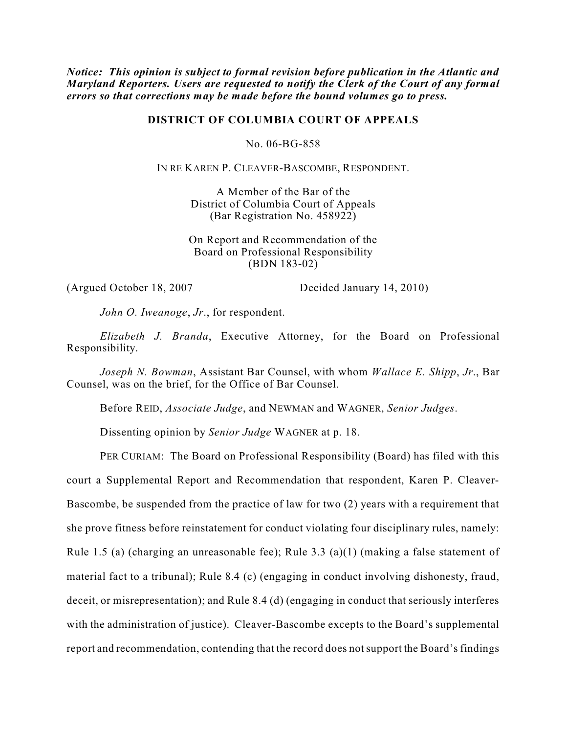*Notice: This opinion is subject to formal revision before publication in the Atlantic and Maryland Reporters. Users are requested to notify the Clerk of the Court of any formal errors so that corrections may be made before the bound volumes go to press.*

## **DISTRICT OF COLUMBIA COURT OF APPEALS**

No. 06-BG-858

IN RE KAREN P. CLEAVER-BASCOMBE, RESPONDENT.

A Member of the Bar of the District of Columbia Court of Appeals (Bar Registration No. 458922)

On Report and Recommendation of the Board on Professional Responsibility (BDN 183-02)

(Argued October 18, 2007 Decided January 14, 2010)

*John O. Iweanoge*, *Jr*., for respondent.

*Elizabeth J. Branda*, Executive Attorney, for the Board on Professional Responsibility.

*Joseph N. Bowman*, Assistant Bar Counsel, with whom *Wallace E. Shipp*, *Jr*., Bar Counsel, was on the brief, for the Office of Bar Counsel.

Before REID, *Associate Judge*, and NEWMAN and WAGNER, *Senior Judges*.

Dissenting opinion by *Senior Judge* WAGNER at p. 18.

PER CURIAM: The Board on Professional Responsibility (Board) has filed with this court a Supplemental Report and Recommendation that respondent, Karen P. Cleaver-Bascombe, be suspended from the practice of law for two (2) years with a requirement that she prove fitness before reinstatement for conduct violating four disciplinary rules, namely: Rule 1.5 (a) (charging an unreasonable fee); Rule 3.3 (a)(1) (making a false statement of material fact to a tribunal); Rule 8.4 (c) (engaging in conduct involving dishonesty, fraud, deceit, or misrepresentation); and Rule 8.4 (d) (engaging in conduct that seriously interferes with the administration of justice). Cleaver-Bascombe excepts to the Board's supplemental report and recommendation, contending that the record does not support the Board's findings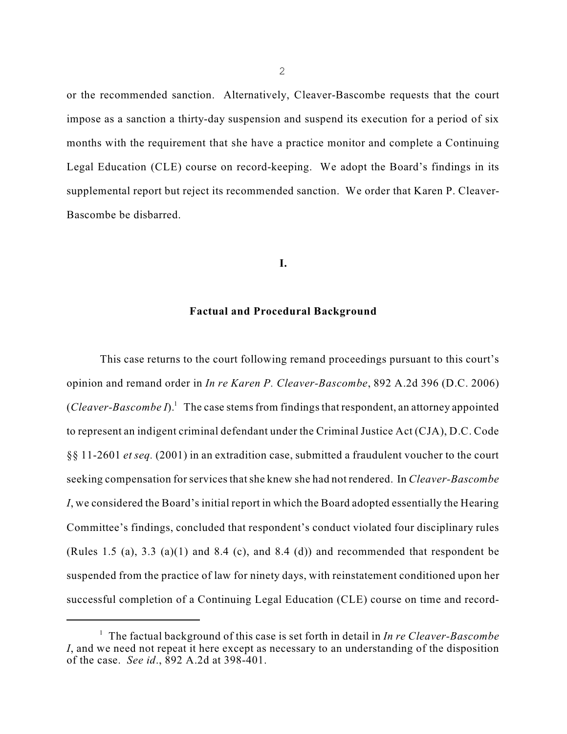or the recommended sanction. Alternatively, Cleaver-Bascombe requests that the court impose as a sanction a thirty-day suspension and suspend its execution for a period of six months with the requirement that she have a practice monitor and complete a Continuing Legal Education (CLE) course on record-keeping. We adopt the Board's findings in its supplemental report but reject its recommended sanction. We order that Karen P. Cleaver-Bascombe be disbarred.

### **I.**

## **Factual and Procedural Background**

This case returns to the court following remand proceedings pursuant to this court's opinion and remand order in *In re Karen P. Cleaver-Bascombe*, 892 A.2d 396 (D.C. 2006) (*Cleaver-Bascombe I*).<sup>1</sup> The case stems from findings that respondent, an attorney appointed to represent an indigent criminal defendant under the Criminal Justice Act (CJA), D.C. Code §§ 11-2601 *et seq.* (2001) in an extradition case, submitted a fraudulent voucher to the court seeking compensation forservicesthatshe knew she had not rendered. In *Cleaver-Bascombe I*, we considered the Board's initial report in which the Board adopted essentially the Hearing Committee's findings, concluded that respondent's conduct violated four disciplinary rules (Rules 1.5 (a), 3.3 (a)(1) and 8.4 (c), and 8.4 (d)) and recommended that respondent be suspended from the practice of law for ninety days, with reinstatement conditioned upon her successful completion of a Continuing Legal Education (CLE) course on time and record-

2

The factual background of this case is set forth in detail in *In re Cleaver-Bascombe* 1 *I*, and we need not repeat it here except as necessary to an understanding of the disposition of the case. *See id*., 892 A.2d at 398-401.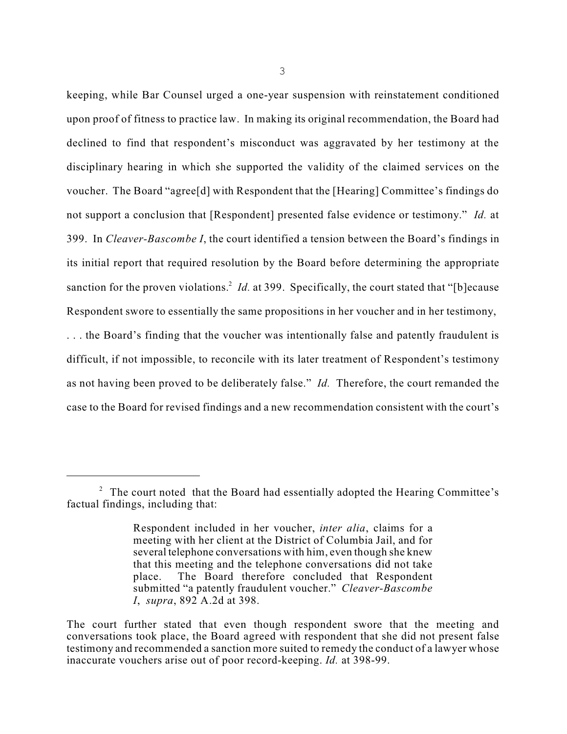keeping, while Bar Counsel urged a one-year suspension with reinstatement conditioned upon proof of fitness to practice law. In making its original recommendation, the Board had declined to find that respondent's misconduct was aggravated by her testimony at the disciplinary hearing in which she supported the validity of the claimed services on the voucher. The Board "agree[d] with Respondent that the [Hearing] Committee's findings do not support a conclusion that [Respondent] presented false evidence or testimony." *Id.* at 399. In *Cleaver-Bascombe I*, the court identified a tension between the Board's findings in its initial report that required resolution by the Board before determining the appropriate sanction for the proven violations.<sup>2</sup> *Id.* at 399. Specifically, the court stated that "[b]ecause Respondent swore to essentially the same propositions in her voucher and in her testimony,

. . . the Board's finding that the voucher was intentionally false and patently fraudulent is difficult, if not impossible, to reconcile with its later treatment of Respondent's testimony as not having been proved to be deliberately false." *Id.* Therefore, the court remanded the case to the Board for revised findings and a new recommendation consistent with the court's

<sup>&</sup>lt;sup>2</sup> The court noted that the Board had essentially adopted the Hearing Committee's factual findings, including that:

Respondent included in her voucher, *inter alia*, claims for a meeting with her client at the District of Columbia Jail, and for several telephone conversations with him, even though she knew that this meeting and the telephone conversations did not take place. The Board therefore concluded that Respondent submitted "a patently fraudulent voucher." *Cleaver-Bascombe I*, *supra*, 892 A.2d at 398.

The court further stated that even though respondent swore that the meeting and conversations took place, the Board agreed with respondent that she did not present false testimony and recommended a sanction more suited to remedy the conduct of a lawyer whose inaccurate vouchers arise out of poor record-keeping. *Id.* at 398-99.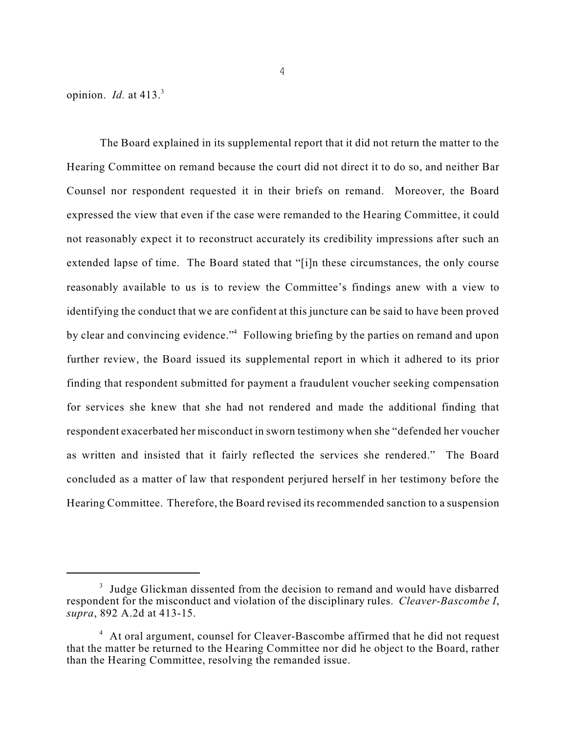opinion. *Id.* at 413. 3

The Board explained in its supplemental report that it did not return the matter to the Hearing Committee on remand because the court did not direct it to do so, and neither Bar Counsel nor respondent requested it in their briefs on remand. Moreover, the Board expressed the view that even if the case were remanded to the Hearing Committee, it could not reasonably expect it to reconstruct accurately its credibility impressions after such an extended lapse of time. The Board stated that "[i]n these circumstances, the only course reasonably available to us is to review the Committee's findings anew with a view to identifying the conduct that we are confident at this juncture can be said to have been proved by clear and convincing evidence."<sup>4</sup> Following briefing by the parties on remand and upon further review, the Board issued its supplemental report in which it adhered to its prior finding that respondent submitted for payment a fraudulent voucher seeking compensation for services she knew that she had not rendered and made the additional finding that respondent exacerbated her misconduct in sworn testimony when she "defended her voucher as written and insisted that it fairly reflected the services she rendered." The Board concluded as a matter of law that respondent perjured herself in her testimony before the Hearing Committee. Therefore, the Board revised its recommended sanction to a suspension

 $3$  Judge Glickman dissented from the decision to remand and would have disbarred respondent for the misconduct and violation of the disciplinary rules. *Cleaver-Bascombe I*, *supra*, 892 A.2d at 413-15.

<sup>&</sup>lt;sup>4</sup> At oral argument, counsel for Cleaver-Bascombe affirmed that he did not request that the matter be returned to the Hearing Committee nor did he object to the Board, rather than the Hearing Committee, resolving the remanded issue.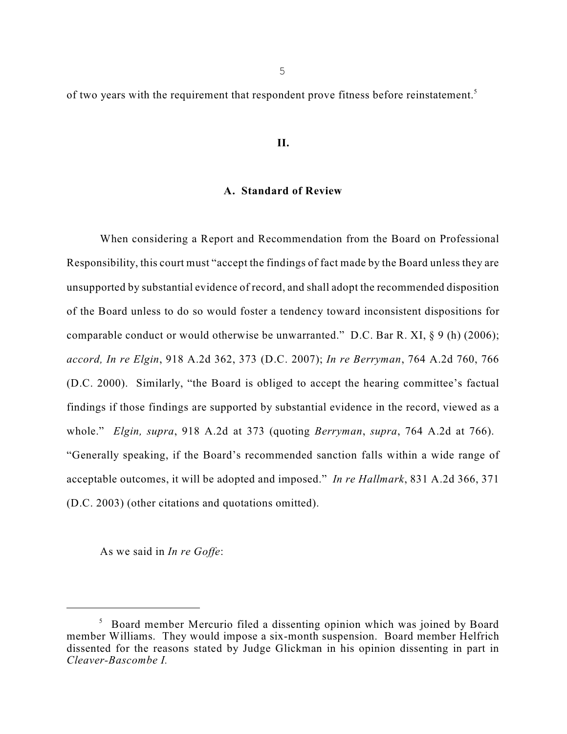of two years with the requirement that respondent prove fitness before reinstatement.<sup>5</sup>

## **II.**

### **A. Standard of Review**

When considering a Report and Recommendation from the Board on Professional Responsibility, this court must "accept the findings of fact made by the Board unless they are unsupported by substantial evidence of record, and shall adopt the recommended disposition of the Board unless to do so would foster a tendency toward inconsistent dispositions for comparable conduct or would otherwise be unwarranted." D.C. Bar R. XI, § 9 (h) (2006); *accord, In re Elgin*, 918 A.2d 362, 373 (D.C. 2007); *In re Berryman*, 764 A.2d 760, 766 (D.C. 2000). Similarly, "the Board is obliged to accept the hearing committee's factual findings if those findings are supported by substantial evidence in the record, viewed as a whole." *Elgin, supra*, 918 A.2d at 373 (quoting *Berryman*, *supra*, 764 A.2d at 766). "Generally speaking, if the Board's recommended sanction falls within a wide range of acceptable outcomes, it will be adopted and imposed." *In re Hallmark*, 831 A.2d 366, 371 (D.C. 2003) (other citations and quotations omitted).

As we said in *In re Goffe*:

<sup>&</sup>lt;sup>5</sup> Board member Mercurio filed a dissenting opinion which was joined by Board member Williams. They would impose a six-month suspension. Board member Helfrich dissented for the reasons stated by Judge Glickman in his opinion dissenting in part in *Cleaver-Bascombe I.*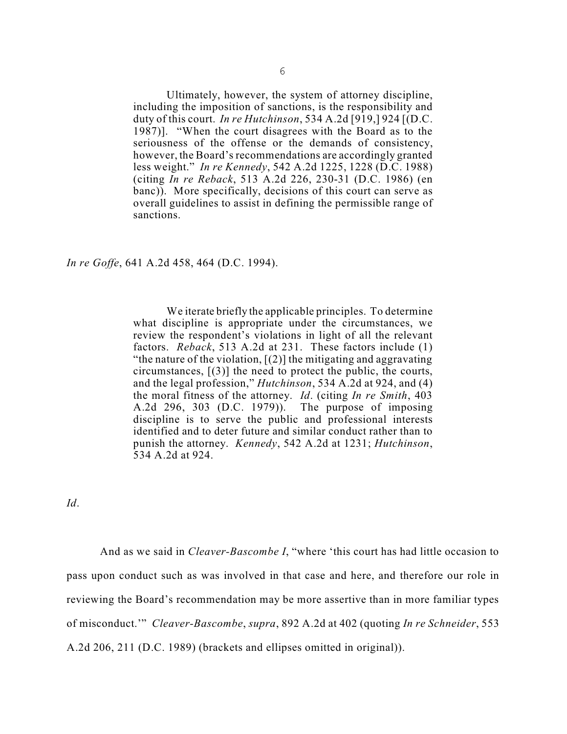Ultimately, however, the system of attorney discipline, including the imposition of sanctions, is the responsibility and duty of this court. *In re Hutchinson*, 534 A.2d [919,] 924 [(D.C. 1987)]. "When the court disagrees with the Board as to the seriousness of the offense or the demands of consistency, however, the Board's recommendations are accordingly granted less weight." *In re Kennedy*, 542 A.2d 1225, 1228 (D.C. 1988) (citing *In re Reback*, 513 A.2d 226, 230-31 (D.C. 1986) (en banc)). More specifically, decisions of this court can serve as overall guidelines to assist in defining the permissible range of sanctions.

*In re Goffe*, 641 A.2d 458, 464 (D.C. 1994).

We iterate briefly the applicable principles. To determine what discipline is appropriate under the circumstances, we review the respondent's violations in light of all the relevant factors. *Reback*, 513 A.2d at 231. These factors include (1) "the nature of the violation,  $[(2)]$  the mitigating and aggravating circumstances, [(3)] the need to protect the public, the courts, and the legal profession," *Hutchinson*, 534 A.2d at 924, and (4) the moral fitness of the attorney. *Id*. (citing *In re Smith*, 403 A.2d 296, 303 (D.C. 1979)). The purpose of imposing discipline is to serve the public and professional interests identified and to deter future and similar conduct rather than to punish the attorney. *Kennedy*, 542 A.2d at 1231; *Hutchinson*, 534 A.2d at 924.

*Id*.

And as we said in *Cleaver-Bascombe I*, "where 'this court has had little occasion to pass upon conduct such as was involved in that case and here, and therefore our role in reviewing the Board's recommendation may be more assertive than in more familiar types of misconduct.'" *Cleaver-Bascombe*, *supra*, 892 A.2d at 402 (quoting *In re Schneider*, 553 A.2d 206, 211 (D.C. 1989) (brackets and ellipses omitted in original)).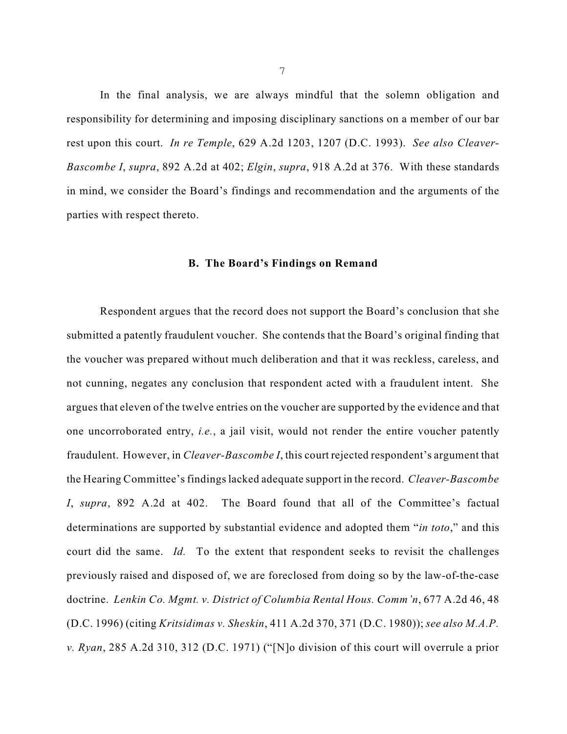In the final analysis, we are always mindful that the solemn obligation and responsibility for determining and imposing disciplinary sanctions on a member of our bar rest upon this court. *In re Temple*, 629 A.2d 1203, 1207 (D.C. 1993). *See also Cleaver-Bascombe I*, *supra*, 892 A.2d at 402; *Elgin*, *supra*, 918 A.2d at 376. With these standards in mind, we consider the Board's findings and recommendation and the arguments of the parties with respect thereto.

## **B. The Board's Findings on Remand**

Respondent argues that the record does not support the Board's conclusion that she submitted a patently fraudulent voucher. She contends that the Board's original finding that the voucher was prepared without much deliberation and that it was reckless, careless, and not cunning, negates any conclusion that respondent acted with a fraudulent intent. She argues that eleven of the twelve entries on the voucher are supported by the evidence and that one uncorroborated entry, *i.e.*, a jail visit, would not render the entire voucher patently fraudulent. However, in *Cleaver-Bascombe I*, this court rejected respondent's argument that the Hearing Committee's findingslacked adequate support in the record. *Cleaver-Bascombe I*, *supra*, 892 A.2d at 402. The Board found that all of the Committee's factual determinations are supported by substantial evidence and adopted them "*in toto*," and this court did the same. *Id.* To the extent that respondent seeks to revisit the challenges previously raised and disposed of, we are foreclosed from doing so by the law-of-the-case doctrine. *Lenkin Co. Mgmt. v. District of Columbia Rental Hous. Comm'n*, 677 A.2d 46, 48 (D.C. 1996) (citing *Kritsidimas v. Sheskin*, 411 A.2d 370, 371 (D.C. 1980)); *see also M.A.P. v. Ryan*, 285 A.2d 310, 312 (D.C. 1971) ("[N]o division of this court will overrule a prior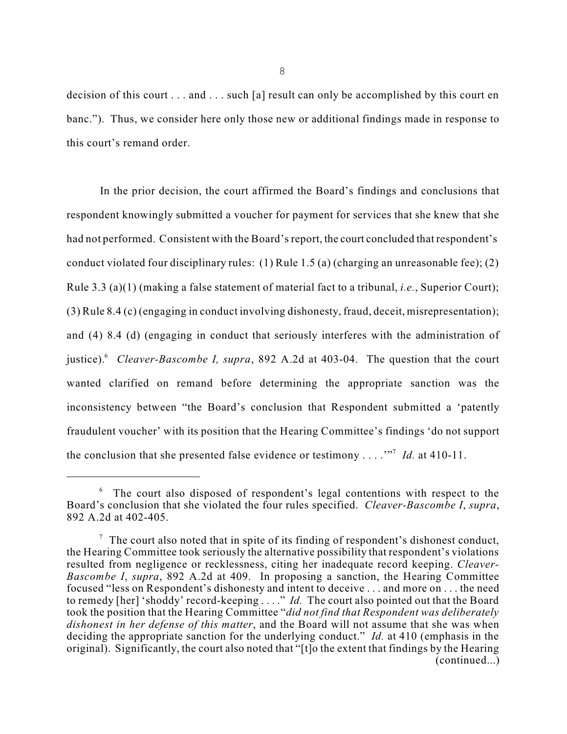decision of this court . . . and . . . such [a] result can only be accomplished by this court en banc."). Thus, we consider here only those new or additional findings made in response to this court's remand order.

In the prior decision, the court affirmed the Board's findings and conclusions that respondent knowingly submitted a voucher for payment for services that she knew that she had not performed. Consistent with the Board's report, the court concluded that respondent's conduct violated four disciplinary rules: (1) Rule 1.5 (a) (charging an unreasonable fee); (2) Rule 3.3 (a)(1) (making a false statement of material fact to a tribunal, *i.e.*, Superior Court); (3) Rule 8.4 (c) (engaging in conduct involving dishonesty, fraud, deceit, misrepresentation); and (4) 8.4 (d) (engaging in conduct that seriously interferes with the administration of justice).<sup>6</sup> *Cleaver-Bascombe I, supra*, 892 A.2d at 403-04. The question that the court wanted clarified on remand before determining the appropriate sanction was the inconsistency between "the Board's conclusion that Respondent submitted a 'patently fraudulent voucher' with its position that the Hearing Committee's findings 'do not support the conclusion that she presented false evidence or testimony . . . . "<sup>7</sup> *Id.* at 410-11.

The court also disposed of respondent's legal contentions with respect to the 6 Board's conclusion that she violated the four rules specified. *Cleaver-Bascombe I*, *supra*, 892 A.2d at 402-405.

 $\sigma$  The court also noted that in spite of its finding of respondent's dishonest conduct, the Hearing Committee took seriously the alternative possibility that respondent's violations resulted from negligence or recklessness, citing her inadequate record keeping. *Cleaver-Bascombe I*, *supra*, 892 A.2d at 409. In proposing a sanction, the Hearing Committee focused "less on Respondent's dishonesty and intent to deceive . . . and more on . . . the need to remedy [her] 'shoddy' record-keeping . . . ." *Id.* The court also pointed out that the Board took the position that the Hearing Committee "*did not find that Respondent was deliberately dishonest in her defense of this matter*, and the Board will not assume that she was when deciding the appropriate sanction for the underlying conduct." *Id.* at 410 (emphasis in the original). Significantly, the court also noted that "[t]o the extent that findings by the Hearing (continued...)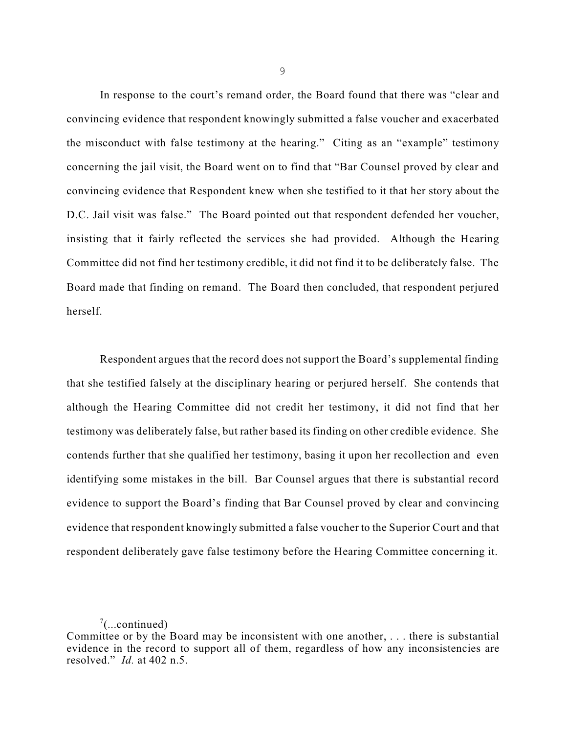In response to the court's remand order, the Board found that there was "clear and convincing evidence that respondent knowingly submitted a false voucher and exacerbated the misconduct with false testimony at the hearing." Citing as an "example" testimony concerning the jail visit, the Board went on to find that "Bar Counsel proved by clear and convincing evidence that Respondent knew when she testified to it that her story about the D.C. Jail visit was false." The Board pointed out that respondent defended her voucher, insisting that it fairly reflected the services she had provided. Although the Hearing Committee did not find her testimony credible, it did not find it to be deliberately false. The Board made that finding on remand. The Board then concluded, that respondent perjured herself.

Respondent argues that the record does not support the Board's supplemental finding that she testified falsely at the disciplinary hearing or perjured herself. She contends that although the Hearing Committee did not credit her testimony, it did not find that her testimony was deliberately false, but rather based its finding on other credible evidence. She contends further that she qualified her testimony, basing it upon her recollection and even identifying some mistakes in the bill. Bar Counsel argues that there is substantial record evidence to support the Board's finding that Bar Counsel proved by clear and convincing evidence that respondent knowingly submitted a false voucher to the Superior Court and that respondent deliberately gave false testimony before the Hearing Committee concerning it.

 $\sqrt[7]{$ (...continued)

Committee or by the Board may be inconsistent with one another, . . . there is substantial evidence in the record to support all of them, regardless of how any inconsistencies are resolved." *Id.* at 402 n.5.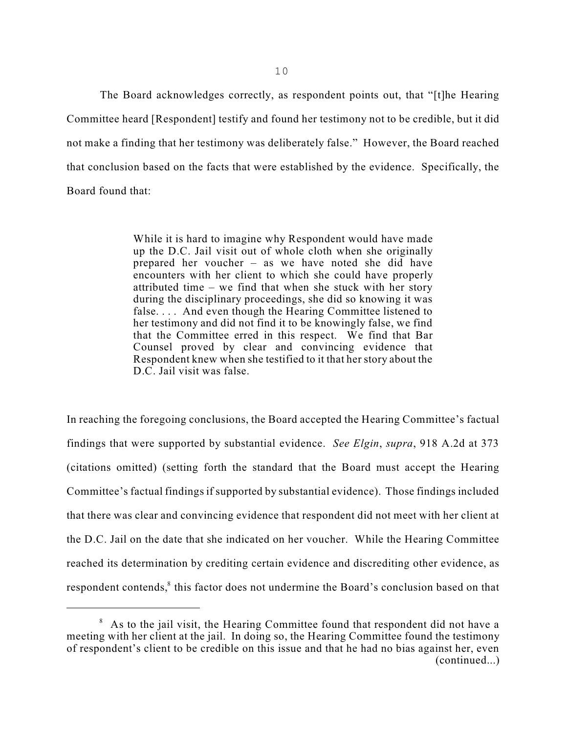The Board acknowledges correctly, as respondent points out, that "[t]he Hearing Committee heard [Respondent] testify and found her testimony not to be credible, but it did not make a finding that her testimony was deliberately false." However, the Board reached that conclusion based on the facts that were established by the evidence. Specifically, the Board found that:

> While it is hard to imagine why Respondent would have made up the D.C. Jail visit out of whole cloth when she originally prepared her voucher – as we have noted she did have encounters with her client to which she could have properly attributed time – we find that when she stuck with her story during the disciplinary proceedings, she did so knowing it was false.... And even though the Hearing Committee listened to her testimony and did not find it to be knowingly false, we find that the Committee erred in this respect. We find that Bar Counsel proved by clear and convincing evidence that Respondent knew when she testified to it that her story about the D.C. Jail visit was false.

In reaching the foregoing conclusions, the Board accepted the Hearing Committee's factual findings that were supported by substantial evidence. *See Elgin*, *supra*, 918 A.2d at 373 (citations omitted) (setting forth the standard that the Board must accept the Hearing Committee's factual findings if supported by substantial evidence). Those findings included that there was clear and convincing evidence that respondent did not meet with her client at the D.C. Jail on the date that she indicated on her voucher. While the Hearing Committee reached its determination by crediting certain evidence and discrediting other evidence, as respondent contends,<sup>8</sup> this factor does not undermine the Board's conclusion based on that

 $8$  As to the jail visit, the Hearing Committee found that respondent did not have a meeting with her client at the jail. In doing so, the Hearing Committee found the testimony of respondent's client to be credible on this issue and that he had no bias against her, even (continued...)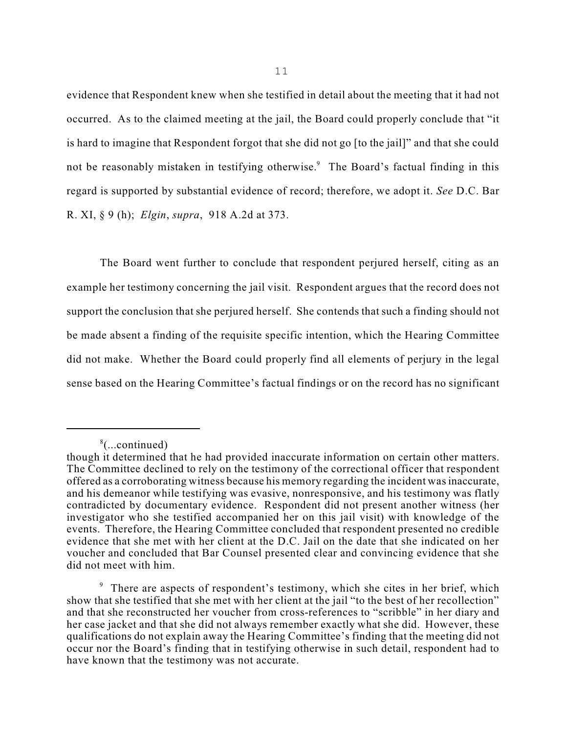evidence that Respondent knew when she testified in detail about the meeting that it had not occurred. As to the claimed meeting at the jail, the Board could properly conclude that "it is hard to imagine that Respondent forgot that she did not go [to the jail]" and that she could not be reasonably mistaken in testifying otherwise.<sup>9</sup> The Board's factual finding in this regard is supported by substantial evidence of record; therefore, we adopt it. *See* D.C. Bar R. XI, § 9 (h); *Elgin*, *supra*, 918 A.2d at 373.

The Board went further to conclude that respondent perjured herself, citing as an example her testimony concerning the jail visit. Respondent argues that the record does not support the conclusion that she perjured herself. She contends that such a finding should not be made absent a finding of the requisite specific intention, which the Hearing Committee did not make. Whether the Board could properly find all elements of perjury in the legal sense based on the Hearing Committee's factual findings or on the record has no significant

<sup>(...</sup>continued) 8

though it determined that he had provided inaccurate information on certain other matters. The Committee declined to rely on the testimony of the correctional officer that respondent offered as a corroborating witness because his memory regarding the incident wasinaccurate, and his demeanor while testifying was evasive, nonresponsive, and his testimony was flatly contradicted by documentary evidence. Respondent did not present another witness (her investigator who she testified accompanied her on this jail visit) with knowledge of the events. Therefore, the Hearing Committee concluded that respondent presented no credible evidence that she met with her client at the D.C. Jail on the date that she indicated on her voucher and concluded that Bar Counsel presented clear and convincing evidence that she did not meet with him.

<sup>&</sup>lt;sup>9</sup> There are aspects of respondent's testimony, which she cites in her brief, which show that she testified that she met with her client at the jail "to the best of her recollection" and that she reconstructed her voucher from cross-references to "scribble" in her diary and her case jacket and that she did not always remember exactly what she did. However, these qualifications do not explain away the Hearing Committee's finding that the meeting did not occur nor the Board's finding that in testifying otherwise in such detail, respondent had to have known that the testimony was not accurate.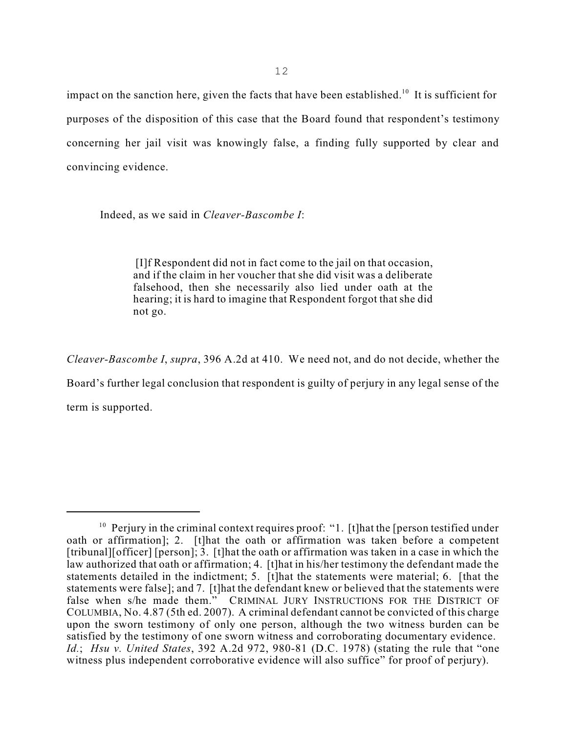impact on the sanction here, given the facts that have been established.<sup>10</sup> It is sufficient for purposes of the disposition of this case that the Board found that respondent's testimony concerning her jail visit was knowingly false, a finding fully supported by clear and convincing evidence.

Indeed, as we said in *Cleaver-Bascombe I*:

[I]f Respondent did not in fact come to the jail on that occasion, and if the claim in her voucher that she did visit was a deliberate falsehood, then she necessarily also lied under oath at the hearing; it is hard to imagine that Respondent forgot that she did not go.

*Cleaver-Bascombe I*, *supra*, 396 A.2d at 410. We need not, and do not decide, whether the Board's further legal conclusion that respondent is guilty of perjury in any legal sense of the term is supported.

 $10$  Perjury in the criminal context requires proof: "1. [t] hat the [person testified under oath or affirmation]; 2. [t]hat the oath or affirmation was taken before a competent [tribunal][officer] [person]; 3. [t]hat the oath or affirmation was taken in a case in which the law authorized that oath or affirmation; 4. [t]hat in his/her testimony the defendant made the statements detailed in the indictment; 5. [t]hat the statements were material; 6. [that the statements were false]; and 7. [t]hat the defendant knew or believed that the statements were false when s/he made them." CRIMINAL JURY INSTRUCTIONS FOR THE DISTRICT OF COLUMBIA, No. 4.87 (5th ed. 2007). A criminal defendant cannot be convicted of this charge upon the sworn testimony of only one person, although the two witness burden can be satisfied by the testimony of one sworn witness and corroborating documentary evidence. *Id.*; *Hsu v. United States*, 392 A.2d 972, 980-81 (D.C. 1978) (stating the rule that "one witness plus independent corroborative evidence will also suffice" for proof of perjury).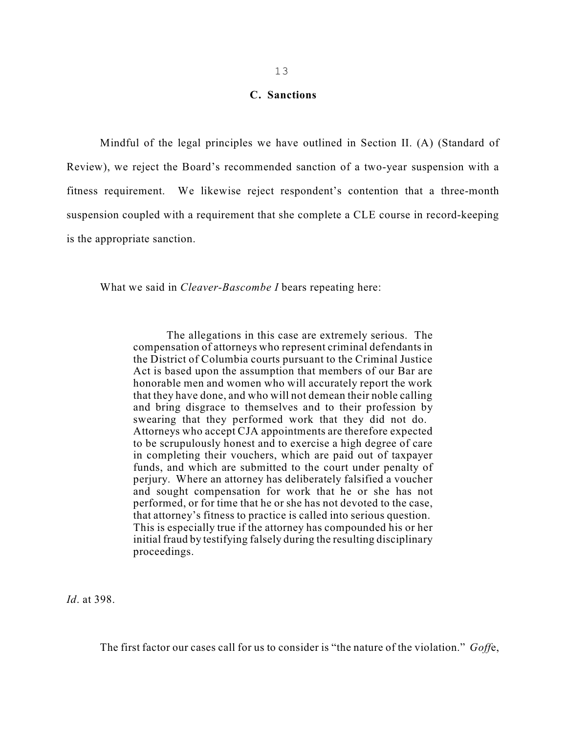#### **C. Sanctions**

Mindful of the legal principles we have outlined in Section II. (A) (Standard of Review), we reject the Board's recommended sanction of a two-year suspension with a fitness requirement. We likewise reject respondent's contention that a three-month suspension coupled with a requirement that she complete a CLE course in record-keeping is the appropriate sanction.

What we said in *Cleaver-Bascombe I* bears repeating here:

The allegations in this case are extremely serious. The compensation of attorneys who represent criminal defendants in the District of Columbia courts pursuant to the Criminal Justice Act is based upon the assumption that members of our Bar are honorable men and women who will accurately report the work that they have done, and who will not demean their noble calling and bring disgrace to themselves and to their profession by swearing that they performed work that they did not do. Attorneys who accept CJA appointments are therefore expected to be scrupulously honest and to exercise a high degree of care in completing their vouchers, which are paid out of taxpayer funds, and which are submitted to the court under penalty of perjury. Where an attorney has deliberately falsified a voucher and sought compensation for work that he or she has not performed, or for time that he or she has not devoted to the case, that attorney's fitness to practice is called into serious question. This is especially true if the attorney has compounded his or her initial fraud by testifying falsely during the resulting disciplinary proceedings.

*Id*. at 398.

The first factor our cases call for us to consider is "the nature of the violation." *Goff*e,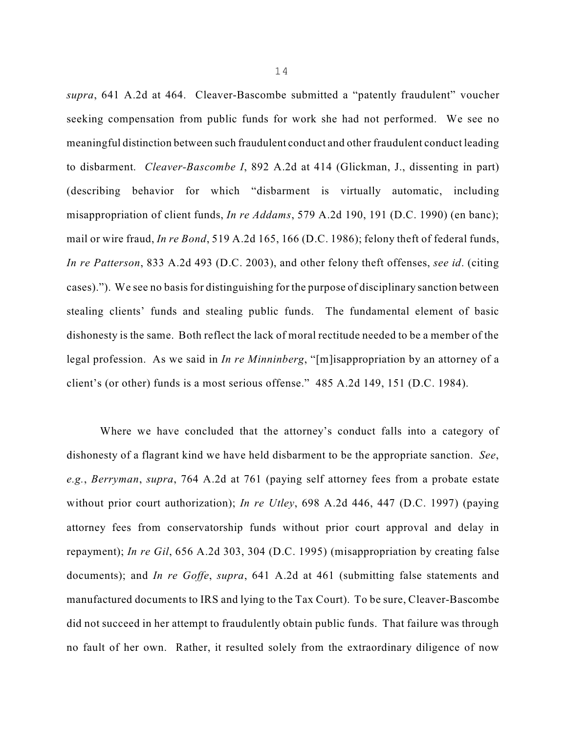*supra*, 641 A.2d at 464. Cleaver-Bascombe submitted a "patently fraudulent" voucher seeking compensation from public funds for work she had not performed. We see no meaningful distinction between such fraudulent conduct and other fraudulent conduct leading to disbarment. *Cleaver-Bascombe I*, 892 A.2d at 414 (Glickman, J., dissenting in part) (describing behavior for which "disbarment is virtually automatic, including misappropriation of client funds, *In re Addams*, 579 A.2d 190, 191 (D.C. 1990) (en banc); mail or wire fraud, *In re Bond*, 519 A.2d 165, 166 (D.C. 1986); felony theft of federal funds, *In re Patterson*, 833 A.2d 493 (D.C. 2003), and other felony theft offenses, *see id*. (citing cases)."). We see no basis for distinguishing for the purpose of disciplinary sanction between stealing clients' funds and stealing public funds. The fundamental element of basic dishonesty is the same. Both reflect the lack of moral rectitude needed to be a member of the legal profession. As we said in *In re Minninberg*, "[m]isappropriation by an attorney of a client's (or other) funds is a most serious offense." 485 A.2d 149, 151 (D.C. 1984).

Where we have concluded that the attorney's conduct falls into a category of dishonesty of a flagrant kind we have held disbarment to be the appropriate sanction. *See*, *e.g.*, *Berryman*, *supra*, 764 A.2d at 761 (paying self attorney fees from a probate estate without prior court authorization); *In re Utley*, 698 A.2d 446, 447 (D.C. 1997) (paying attorney fees from conservatorship funds without prior court approval and delay in repayment); *In re Gil*, 656 A.2d 303, 304 (D.C. 1995) (misappropriation by creating false documents); and *In re Goffe*, *supra*, 641 A.2d at 461 (submitting false statements and manufactured documents to IRS and lying to the Tax Court). To be sure, Cleaver-Bascombe did not succeed in her attempt to fraudulently obtain public funds. That failure was through no fault of her own. Rather, it resulted solely from the extraordinary diligence of now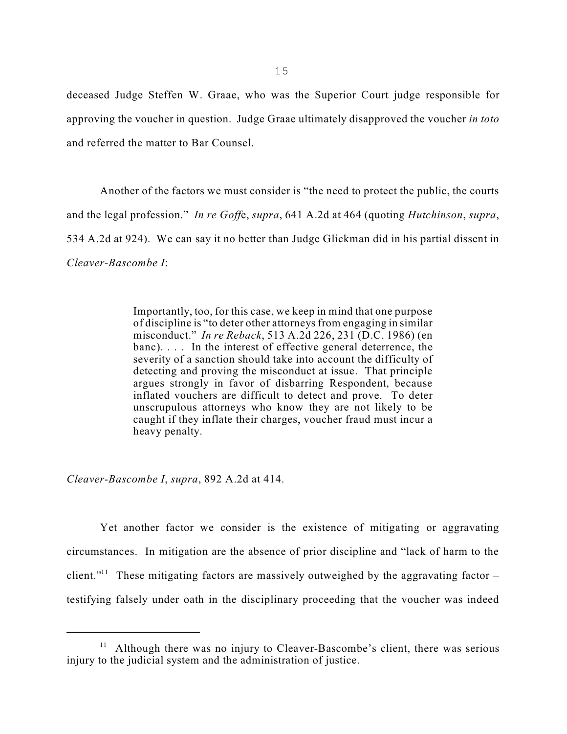deceased Judge Steffen W. Graae, who was the Superior Court judge responsible for approving the voucher in question. Judge Graae ultimately disapproved the voucher *in toto* and referred the matter to Bar Counsel.

Another of the factors we must consider is "the need to protect the public, the courts and the legal profession." *In re Goff*e, *supra*, 641 A.2d at 464 (quoting *Hutchinson*, *supra*, 534 A.2d at 924). We can say it no better than Judge Glickman did in his partial dissent in *Cleaver-Bascombe I*:

> Importantly, too, for this case, we keep in mind that one purpose of discipline is "to deter other attorneys from engaging in similar misconduct." *In re Reback*, 513 A.2d 226, 231 (D.C. 1986) (en banc). . . . In the interest of effective general deterrence, the severity of a sanction should take into account the difficulty of detecting and proving the misconduct at issue. That principle argues strongly in favor of disbarring Respondent, because inflated vouchers are difficult to detect and prove. To deter unscrupulous attorneys who know they are not likely to be caught if they inflate their charges, voucher fraud must incur a heavy penalty.

*Cleaver-Bascombe I*, *supra*, 892 A.2d at 414.

Yet another factor we consider is the existence of mitigating or aggravating circumstances. In mitigation are the absence of prior discipline and "lack of harm to the client."<sup>11</sup> These mitigating factors are massively outweighed by the aggravating factor  $$ testifying falsely under oath in the disciplinary proceeding that the voucher was indeed

<sup>&</sup>lt;sup>11</sup> Although there was no injury to Cleaver-Bascombe's client, there was serious injury to the judicial system and the administration of justice.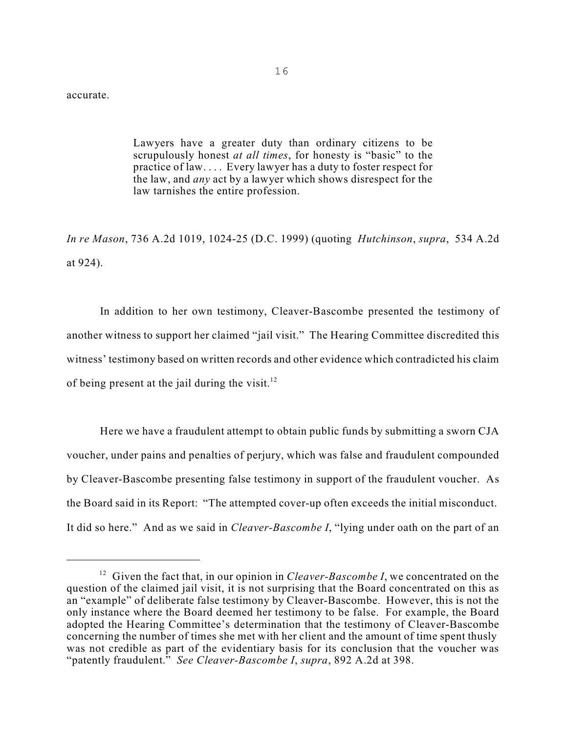accurate.

Lawyers have a greater duty than ordinary citizens to be scrupulously honest *at all times*, for honesty is "basic" to the practice of law. . . . Every lawyer has a duty to foster respect for the law, and *any* act by a lawyer which shows disrespect for the law tarnishes the entire profession.

*In re Mason*, 736 A.2d 1019, 1024-25 (D.C. 1999) (quoting *Hutchinson*, *supra*, 534 A.2d at 924).

In addition to her own testimony, Cleaver-Bascombe presented the testimony of another witness to support her claimed "jail visit." The Hearing Committee discredited this witness' testimony based on written records and other evidence which contradicted his claim of being present at the jail during the visit. $12$ 

Here we have a fraudulent attempt to obtain public funds by submitting a sworn CJA voucher, under pains and penalties of perjury, which was false and fraudulent compounded by Cleaver-Bascombe presenting false testimony in support of the fraudulent voucher. As the Board said in its Report: "The attempted cover-up often exceeds the initial misconduct. It did so here." And as we said in *Cleaver-Bascombe I*, "lying under oath on the part of an

<sup>&</sup>lt;sup>12</sup> Given the fact that, in our opinion in *Cleaver-Bascombe I*, we concentrated on the question of the claimed jail visit, it is not surprising that the Board concentrated on this as an "example" of deliberate false testimony by Cleaver-Bascombe. However, this is not the only instance where the Board deemed her testimony to be false. For example, the Board adopted the Hearing Committee's determination that the testimony of Cleaver-Bascombe concerning the number of times she met with her client and the amount of time spent thusly was not credible as part of the evidentiary basis for its conclusion that the voucher was "patently fraudulent." *See Cleaver-Bascombe I*, *supra*, 892 A.2d at 398.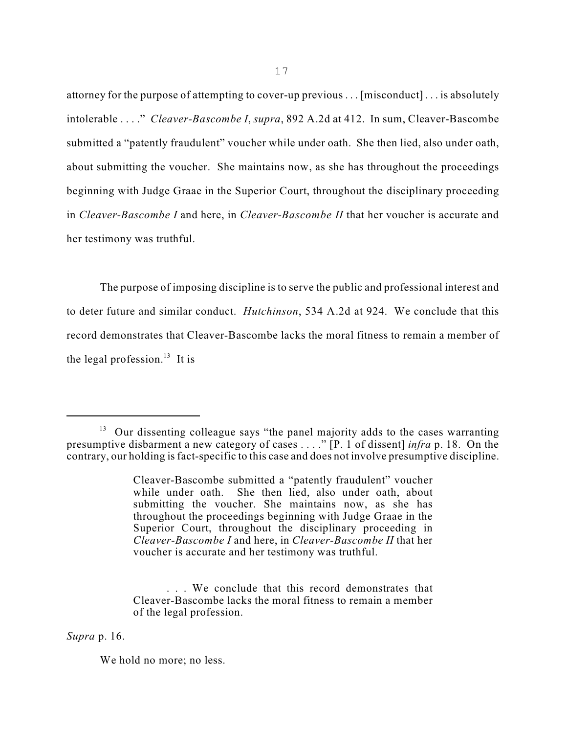attorney for the purpose of attempting to cover-up previous . . . [misconduct] . . . is absolutely intolerable . . . ." *Cleaver-Bascombe I*, *supra*, 892 A.2d at 412. In sum, Cleaver-Bascombe submitted a "patently fraudulent" voucher while under oath. She then lied, also under oath, about submitting the voucher. She maintains now, as she has throughout the proceedings beginning with Judge Graae in the Superior Court, throughout the disciplinary proceeding in *Cleaver-Bascombe I* and here, in *Cleaver-Bascombe II* that her voucher is accurate and her testimony was truthful.

The purpose of imposing discipline is to serve the public and professional interest and to deter future and similar conduct. *Hutchinson*, 534 A.2d at 924. We conclude that this record demonstrates that Cleaver-Bascombe lacks the moral fitness to remain a member of the legal profession. $13$  It is

*Supra* p. 16.

We hold no more; no less.

 $13$  Our dissenting colleague says "the panel majority adds to the cases warranting presumptive disbarment a new category of cases . . . ." [P. 1 of dissent] *infra* p. 18. On the contrary, our holding is fact-specific to this case and does not involve presumptive discipline.

Cleaver-Bascombe submitted a "patently fraudulent" voucher while under oath. She then lied, also under oath, about submitting the voucher. She maintains now, as she has throughout the proceedings beginning with Judge Graae in the Superior Court, throughout the disciplinary proceeding in *Cleaver-Bascombe I* and here, in *Cleaver-Bascombe II* that her voucher is accurate and her testimony was truthful.

<sup>.</sup> . . We conclude that this record demonstrates that Cleaver-Bascombe lacks the moral fitness to remain a member of the legal profession.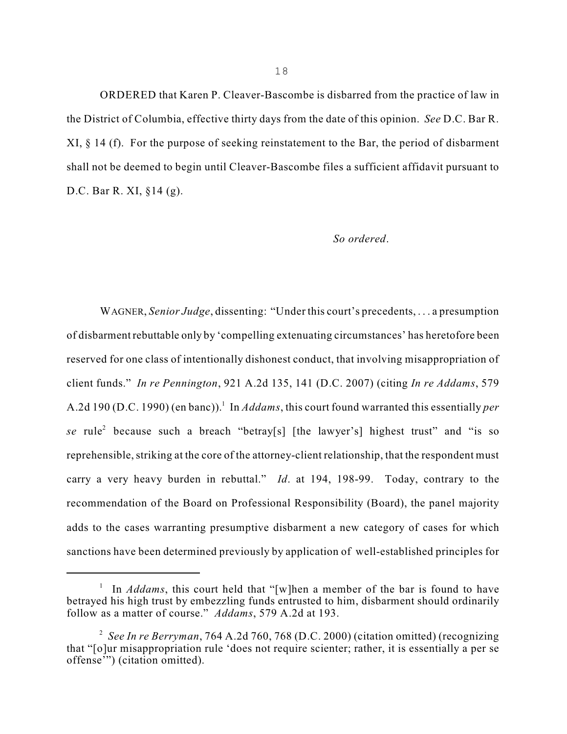ORDERED that Karen P. Cleaver-Bascombe is disbarred from the practice of law in the District of Columbia, effective thirty days from the date of this opinion. *See* D.C. Bar R. XI, § 14 (f). For the purpose of seeking reinstatement to the Bar, the period of disbarment shall not be deemed to begin until Cleaver-Bascombe files a sufficient affidavit pursuant to D.C. Bar R. XI, §14 (g).

#### *So ordered*.

WAGNER, *Senior Judge*, dissenting: "Under this court's precedents, . . . a presumption of disbarment rebuttable only by 'compelling extenuating circumstances' has heretofore been reserved for one class of intentionally dishonest conduct, that involving misappropriation of client funds." *In re Pennington*, 921 A.2d 135, 141 (D.C. 2007) (citing *In re Addams*, 579 A.2d 190 (D.C. 1990) (en banc)).<sup>1</sup> In *Addams*, this court found warranted this essentially *per* se rule<sup>2</sup> because such a breach "betray[s] [the lawyer's] highest trust" and "is so reprehensible, striking at the core of the attorney-client relationship, that the respondent must carry a very heavy burden in rebuttal." *Id*. at 194, 198-99. Today, contrary to the recommendation of the Board on Professional Responsibility (Board), the panel majority adds to the cases warranting presumptive disbarment a new category of cases for which sanctions have been determined previously by application of well-established principles for

<sup>&</sup>lt;sup>1</sup> In *Addams*, this court held that "[w]hen a member of the bar is found to have betrayed his high trust by embezzling funds entrusted to him, disbarment should ordinarily follow as a matter of course." *Addams*, 579 A.2d at 193.

*See In re Berryman*, 764 A.2d 760, 768 (D.C. 2000) (citation omitted) (recognizing 2 that "[o]ur misappropriation rule 'does not require scienter; rather, it is essentially a per se offense'") (citation omitted).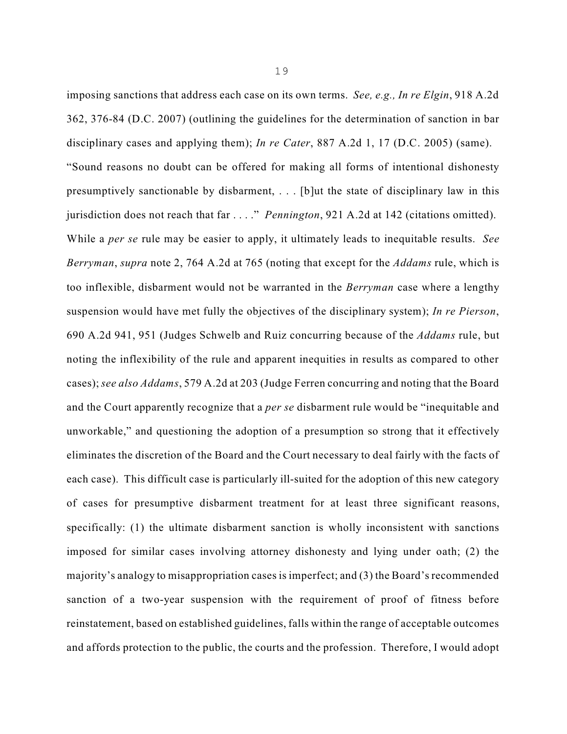imposing sanctions that address each case on its own terms. *See, e.g., In re Elgin*, 918 A.2d 362, 376-84 (D.C. 2007) (outlining the guidelines for the determination of sanction in bar disciplinary cases and applying them); *In re Cater*, 887 A.2d 1, 17 (D.C. 2005) (same). "Sound reasons no doubt can be offered for making all forms of intentional dishonesty presumptively sanctionable by disbarment, . . . [b]ut the state of disciplinary law in this jurisdiction does not reach that far . . . ." *Pennington*, 921 A.2d at 142 (citations omitted). While a *per se* rule may be easier to apply, it ultimately leads to inequitable results. *See Berryman*, *supra* note 2, 764 A.2d at 765 (noting that except for the *Addams* rule, which is too inflexible, disbarment would not be warranted in the *Berryman* case where a lengthy suspension would have met fully the objectives of the disciplinary system); *In re Pierson*, 690 A.2d 941, 951 (Judges Schwelb and Ruiz concurring because of the *Addams* rule, but noting the inflexibility of the rule and apparent inequities in results as compared to other cases); *see also Addams*, 579 A.2d at 203 (Judge Ferren concurring and noting that the Board and the Court apparently recognize that a *per se* disbarment rule would be "inequitable and unworkable," and questioning the adoption of a presumption so strong that it effectively eliminates the discretion of the Board and the Court necessary to deal fairly with the facts of each case). This difficult case is particularly ill-suited for the adoption of this new category of cases for presumptive disbarment treatment for at least three significant reasons, specifically: (1) the ultimate disbarment sanction is wholly inconsistent with sanctions imposed for similar cases involving attorney dishonesty and lying under oath; (2) the majority's analogy to misappropriation cases is imperfect; and (3) the Board's recommended sanction of a two-year suspension with the requirement of proof of fitness before reinstatement, based on established guidelines, falls within the range of acceptable outcomes and affords protection to the public, the courts and the profession. Therefore, I would adopt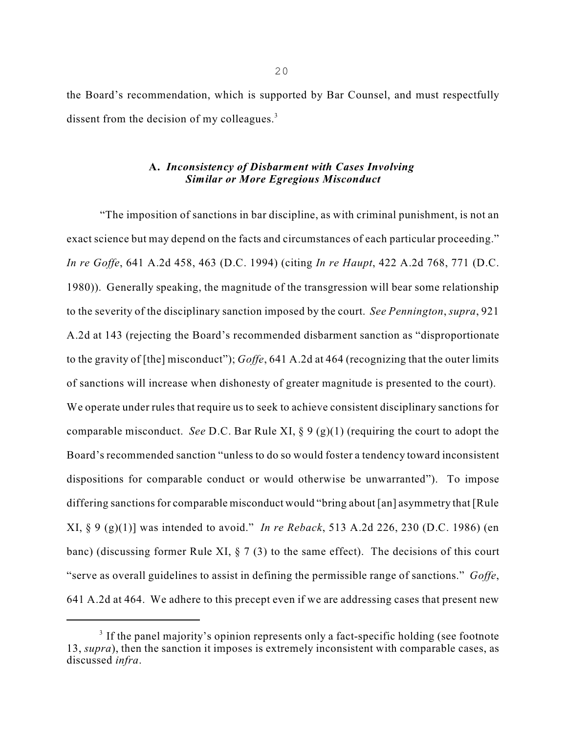the Board's recommendation, which is supported by Bar Counsel, and must respectfully dissent from the decision of my colleagues.<sup>3</sup>

## **A.** *Inconsistency of Disbarment with Cases Involving Similar or More Egregious Misconduct*

"The imposition of sanctions in bar discipline, as with criminal punishment, is not an exact science but may depend on the facts and circumstances of each particular proceeding." *In re Goffe*, 641 A.2d 458, 463 (D.C. 1994) (citing *In re Haupt*, 422 A.2d 768, 771 (D.C. 1980)). Generally speaking, the magnitude of the transgression will bear some relationship to the severity of the disciplinary sanction imposed by the court. *See Pennington*, *supra*, 921 A.2d at 143 (rejecting the Board's recommended disbarment sanction as "disproportionate to the gravity of [the] misconduct"); *Goffe*, 641 A.2d at 464 (recognizing that the outer limits of sanctions will increase when dishonesty of greater magnitude is presented to the court). We operate under rules that require us to seek to achieve consistent disciplinary sanctions for comparable misconduct. *See* D.C. Bar Rule XI, § 9 (g)(1) (requiring the court to adopt the Board's recommended sanction "unless to do so would foster a tendency toward inconsistent dispositions for comparable conduct or would otherwise be unwarranted"). To impose differing sanctions for comparable misconduct would "bring about [an] asymmetry that [Rule XI, § 9 (g)(1)] was intended to avoid." *In re Reback*, 513 A.2d 226, 230 (D.C. 1986) (en banc) (discussing former Rule XI, § 7 (3) to the same effect). The decisions of this court "serve as overall guidelines to assist in defining the permissible range of sanctions." *Goffe*, 641 A.2d at 464. We adhere to this precept even if we are addressing cases that present new

 $3$  If the panel majority's opinion represents only a fact-specific holding (see footnote 13, *supra*), then the sanction it imposes is extremely inconsistent with comparable cases, as discussed *infra*.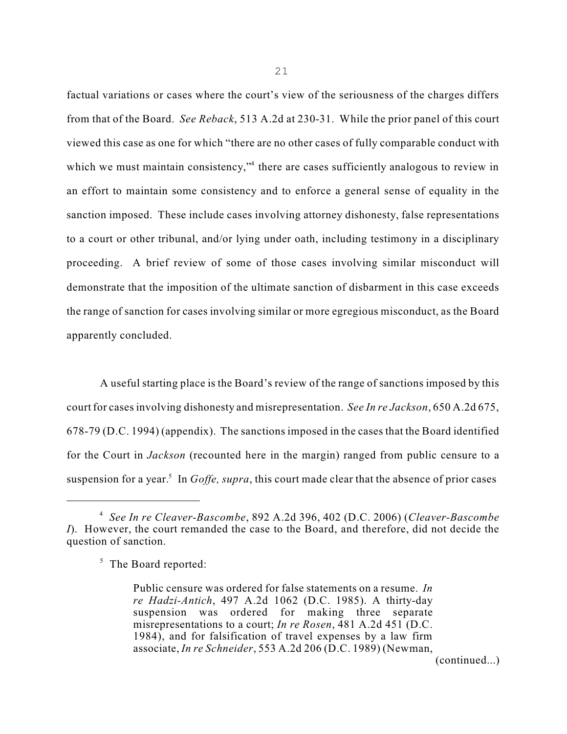factual variations or cases where the court's view of the seriousness of the charges differs from that of the Board. *See Reback*, 513 A.2d at 230-31. While the prior panel of this court viewed this case as one for which "there are no other cases of fully comparable conduct with which we must maintain consistency,"<sup>4</sup> there are cases sufficiently analogous to review in an effort to maintain some consistency and to enforce a general sense of equality in the sanction imposed. These include cases involving attorney dishonesty, false representations to a court or other tribunal, and/or lying under oath, including testimony in a disciplinary proceeding. A brief review of some of those cases involving similar misconduct will demonstrate that the imposition of the ultimate sanction of disbarment in this case exceeds the range of sanction for cases involving similar or more egregious misconduct, as the Board apparently concluded.

A useful starting place is the Board's review of the range of sanctions imposed by this court for casesinvolving dishonesty and misrepresentation. *See In re Jackson*, 650 A.2d 675, 678-79 (D.C. 1994) (appendix). The sanctions imposed in the cases that the Board identified for the Court in *Jackson* (recounted here in the margin) ranged from public censure to a suspension for a year.<sup>5</sup> In *Goffe, supra*, this court made clear that the absence of prior cases

21

(continued...)

*See In re Cleaver-Bascombe*, 892 A.2d 396, 402 (D.C. 2006) (*Cleaver-Bascombe* 4 *I*). However, the court remanded the case to the Board, and therefore, did not decide the question of sanction.

<sup>&</sup>lt;sup>5</sup> The Board reported:

Public censure was ordered for false statements on a resume. *In re Hadzi-Antich*, 497 A.2d 1062 (D.C. 1985). A thirty-day suspension was ordered for making three separate misrepresentations to a court; *In re Rosen*, 481 A.2d 451 (D.C. 1984), and for falsification of travel expenses by a law firm associate, *In re Schneider*, 553 A.2d 206 (D.C. 1989) (Newman,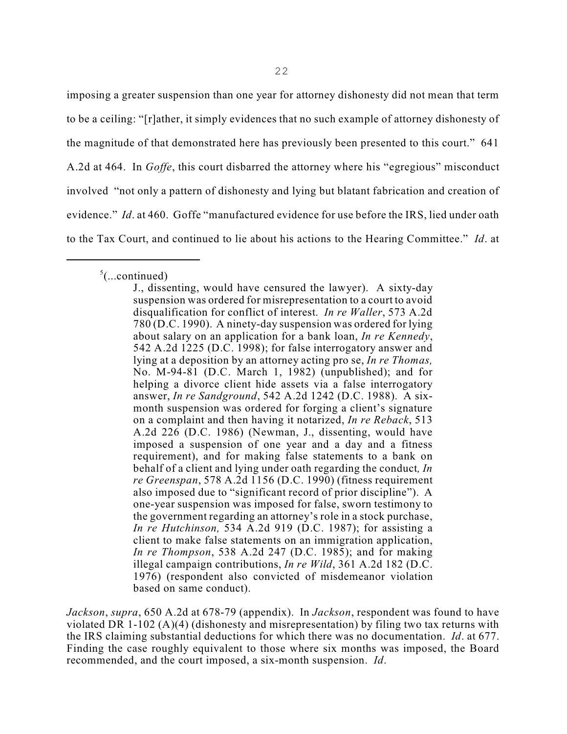imposing a greater suspension than one year for attorney dishonesty did not mean that term to be a ceiling: "[r]ather, it simply evidences that no such example of attorney dishonesty of the magnitude of that demonstrated here has previously been presented to this court." 641 A.2d at 464. In *Goffe*, this court disbarred the attorney where his "egregious" misconduct involved "not only a pattern of dishonesty and lying but blatant fabrication and creation of evidence." *Id*. at 460. Goffe "manufactured evidence for use before the IRS, lied under oath to the Tax Court, and continued to lie about his actions to the Hearing Committee." *Id*. at

 $5$ (...continued)

*Jackson*, *supra*, 650 A.2d at 678-79 (appendix). In *Jackson*, respondent was found to have violated DR 1-102 (A)(4) (dishonesty and misrepresentation) by filing two tax returns with the IRS claiming substantial deductions for which there was no documentation. *Id*. at 677. Finding the case roughly equivalent to those where six months was imposed, the Board recommended, and the court imposed, a six-month suspension. *Id*.

J., dissenting, would have censured the lawyer). A sixty-day suspension was ordered for misrepresentation to a court to avoid disqualification for conflict of interest. *In re Waller*, 573 A.2d 780 (D.C. 1990). A ninety-day suspension was ordered for lying about salary on an application for a bank loan, *In re Kennedy*, 542 A.2d 1225 (D.C. 1998); for false interrogatory answer and lying at a deposition by an attorney acting pro se, *In re Thomas,* No. M-94-81 (D.C. March 1, 1982) (unpublished); and for helping a divorce client hide assets via a false interrogatory answer, *In re Sandground*, 542 A.2d 1242 (D.C. 1988). A sixmonth suspension was ordered for forging a client's signature on a complaint and then having it notarized, *In re Reback*, 513 A.2d 226 (D.C. 1986) (Newman, J., dissenting, would have imposed a suspension of one year and a day and a fitness requirement), and for making false statements to a bank on behalf of a client and lying under oath regarding the conduct*, In re Greenspan*, 578 A.2d 1156 (D.C. 1990) (fitness requirement also imposed due to "significant record of prior discipline"). A one-year suspension was imposed for false, sworn testimony to the government regarding an attorney's role in a stock purchase, *In re Hutchinson,* 534 A.2d 919 (D.C. 1987); for assisting a client to make false statements on an immigration application, *In re Thompson*, 538 A.2d 247 (D.C. 1985); and for making illegal campaign contributions, *In re Wild*, 361 A.2d 182 (D.C. 1976) (respondent also convicted of misdemeanor violation based on same conduct).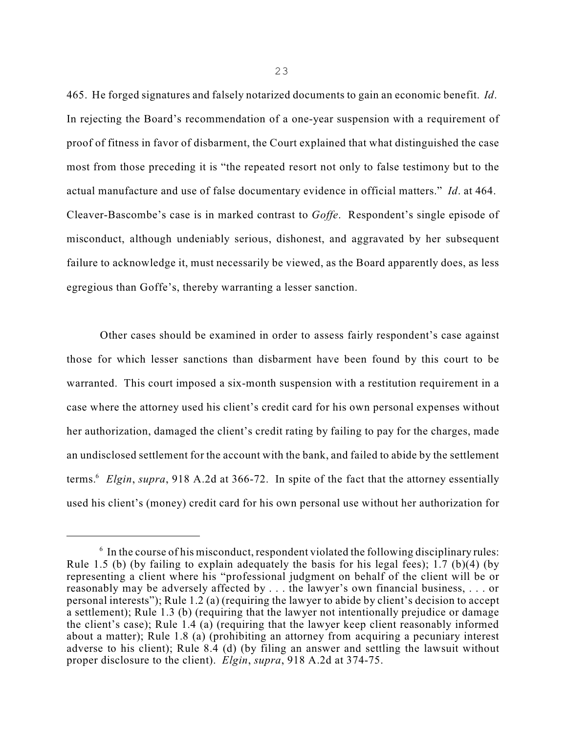465. He forged signatures and falsely notarized documents to gain an economic benefit. *Id*. In rejecting the Board's recommendation of a one-year suspension with a requirement of proof of fitness in favor of disbarment, the Court explained that what distinguished the case most from those preceding it is "the repeated resort not only to false testimony but to the actual manufacture and use of false documentary evidence in official matters." *Id*. at 464. Cleaver-Bascombe's case is in marked contrast to *Goffe*. Respondent's single episode of misconduct, although undeniably serious, dishonest, and aggravated by her subsequent failure to acknowledge it, must necessarily be viewed, as the Board apparently does, as less egregious than Goffe's, thereby warranting a lesser sanction.

Other cases should be examined in order to assess fairly respondent's case against those for which lesser sanctions than disbarment have been found by this court to be warranted. This court imposed a six-month suspension with a restitution requirement in a case where the attorney used his client's credit card for his own personal expenses without her authorization, damaged the client's credit rating by failing to pay for the charges, made an undisclosed settlement for the account with the bank, and failed to abide by the settlement terms.<sup>6</sup> Elgin, supra, 918 A.2d at 366-72. In spite of the fact that the attorney essentially used his client's (money) credit card for his own personal use without her authorization for

 $6$  In the course of his misconduct, respondent violated the following disciplinary rules: Rule 1.5 (b) (by failing to explain adequately the basis for his legal fees); 1.7 (b)(4) (by representing a client where his "professional judgment on behalf of the client will be or reasonably may be adversely affected by . . . the lawyer's own financial business, . . . or personal interests"); Rule 1.2 (a) (requiring the lawyer to abide by client's decision to accept a settlement); Rule 1.3 (b) (requiring that the lawyer not intentionally prejudice or damage the client's case); Rule 1.4 (a) (requiring that the lawyer keep client reasonably informed about a matter); Rule 1.8 (a) (prohibiting an attorney from acquiring a pecuniary interest adverse to his client); Rule 8.4 (d) (by filing an answer and settling the lawsuit without proper disclosure to the client). *Elgin*, *supra*, 918 A.2d at 374-75.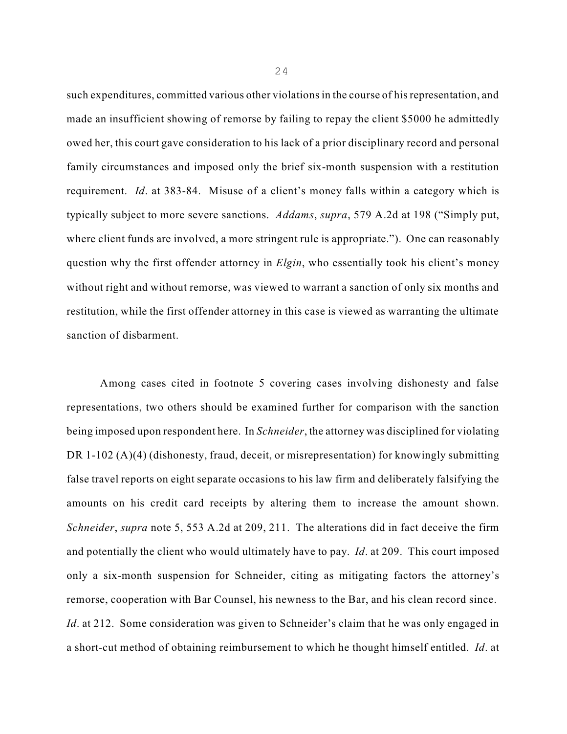such expenditures, committed various other violationsin the course of hisrepresentation, and made an insufficient showing of remorse by failing to repay the client \$5000 he admittedly owed her, this court gave consideration to his lack of a prior disciplinary record and personal family circumstances and imposed only the brief six-month suspension with a restitution requirement. *Id*. at 383-84. Misuse of a client's money falls within a category which is typically subject to more severe sanctions. *Addams*, *supra*, 579 A.2d at 198 ("Simply put, where client funds are involved, a more stringent rule is appropriate."). One can reasonably question why the first offender attorney in *Elgin*, who essentially took his client's money without right and without remorse, was viewed to warrant a sanction of only six months and restitution, while the first offender attorney in this case is viewed as warranting the ultimate sanction of disbarment.

Among cases cited in footnote 5 covering cases involving dishonesty and false representations, two others should be examined further for comparison with the sanction being imposed upon respondent here. In *Schneider*, the attorney was disciplined for violating DR 1-102 (A)(4) (dishonesty, fraud, deceit, or misrepresentation) for knowingly submitting false travel reports on eight separate occasions to his law firm and deliberately falsifying the amounts on his credit card receipts by altering them to increase the amount shown. *Schneider*, *supra* note 5, 553 A.2d at 209, 211. The alterations did in fact deceive the firm and potentially the client who would ultimately have to pay. *Id*. at 209. This court imposed only a six-month suspension for Schneider, citing as mitigating factors the attorney's remorse, cooperation with Bar Counsel, his newness to the Bar, and his clean record since. *Id.* at 212. Some consideration was given to Schneider's claim that he was only engaged in a short-cut method of obtaining reimbursement to which he thought himself entitled. *Id*. at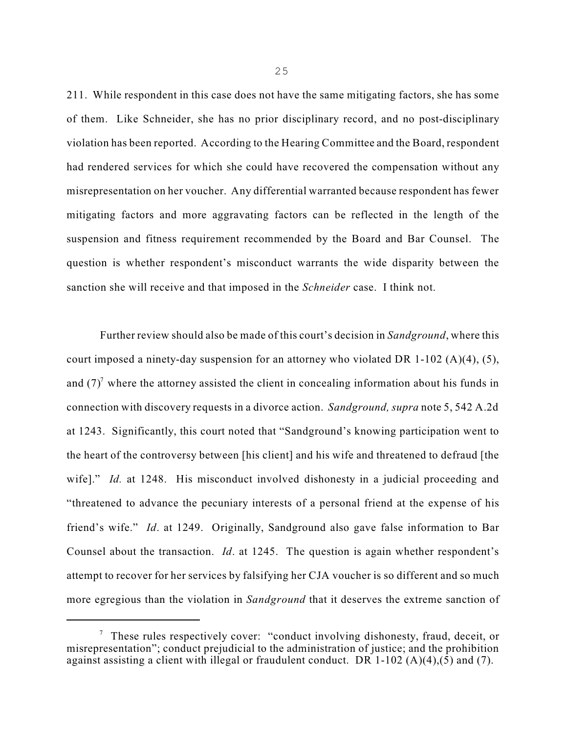211. While respondent in this case does not have the same mitigating factors, she has some of them. Like Schneider, she has no prior disciplinary record, and no post-disciplinary violation has been reported. According to the Hearing Committee and the Board, respondent had rendered services for which she could have recovered the compensation without any misrepresentation on her voucher. Any differential warranted because respondent has fewer mitigating factors and more aggravating factors can be reflected in the length of the suspension and fitness requirement recommended by the Board and Bar Counsel. The question is whether respondent's misconduct warrants the wide disparity between the sanction she will receive and that imposed in the *Schneider* case. I think not.

Further review should also be made of this court's decision in *Sandground*, where this court imposed a ninety-day suspension for an attorney who violated DR 1-102 (A)(4), (5), and  $(7)^7$  where the attorney assisted the client in concealing information about his funds in connection with discovery requests in a divorce action. *Sandground, supra* note 5, 542 A.2d at 1243. Significantly, this court noted that "Sandground's knowing participation went to the heart of the controversy between [his client] and his wife and threatened to defraud [the wife]." *Id.* at 1248. His misconduct involved dishonesty in a judicial proceeding and "threatened to advance the pecuniary interests of a personal friend at the expense of his friend's wife." *Id*. at 1249. Originally, Sandground also gave false information to Bar Counsel about the transaction. *Id*. at 1245. The question is again whether respondent's attempt to recover for her services by falsifying her CJA voucher is so different and so much more egregious than the violation in *Sandground* that it deserves the extreme sanction of

 $\frac{7}{7}$  These rules respectively cover: "conduct involving dishonesty, fraud, deceit, or misrepresentation"; conduct prejudicial to the administration of justice; and the prohibition against assisting a client with illegal or fraudulent conduct. DR  $1-102$  (A)(4),(5) and (7).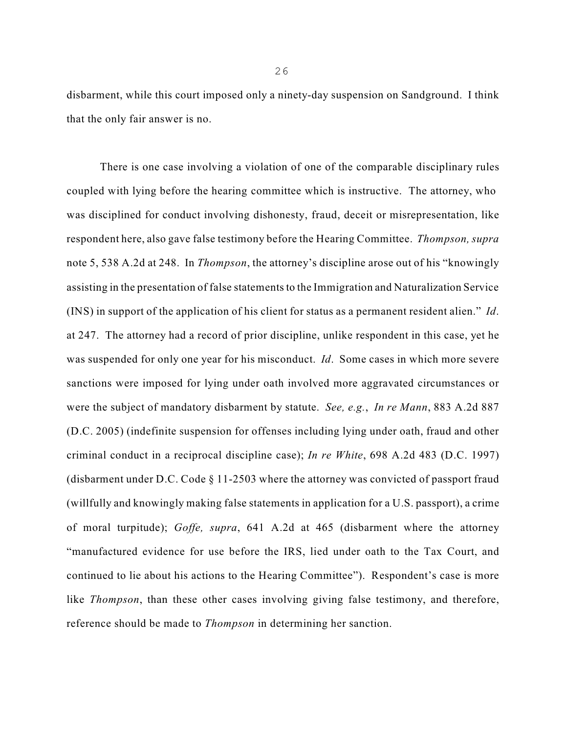disbarment, while this court imposed only a ninety-day suspension on Sandground. I think that the only fair answer is no.

There is one case involving a violation of one of the comparable disciplinary rules coupled with lying before the hearing committee which is instructive. The attorney, who was disciplined for conduct involving dishonesty, fraud, deceit or misrepresentation, like respondent here, also gave false testimony before the Hearing Committee. *Thompson, supra* note 5, 538 A.2d at 248. In *Thompson*, the attorney's discipline arose out of his "knowingly assisting in the presentation of false statements to the Immigration and Naturalization Service (INS) in support of the application of his client for status as a permanent resident alien." *Id*. at 247. The attorney had a record of prior discipline, unlike respondent in this case, yet he was suspended for only one year for his misconduct. *Id*. Some cases in which more severe sanctions were imposed for lying under oath involved more aggravated circumstances or were the subject of mandatory disbarment by statute. *See, e.g.*, *In re Mann*, 883 A.2d 887 (D.C. 2005) (indefinite suspension for offenses including lying under oath, fraud and other criminal conduct in a reciprocal discipline case); *In re White*, 698 A.2d 483 (D.C. 1997) (disbarment under D.C. Code § 11-2503 where the attorney was convicted of passport fraud (willfully and knowingly making false statements in application for a U.S. passport), a crime of moral turpitude); *Goffe, supra*, 641 A.2d at 465 (disbarment where the attorney "manufactured evidence for use before the IRS, lied under oath to the Tax Court, and continued to lie about his actions to the Hearing Committee"). Respondent's case is more like *Thompson*, than these other cases involving giving false testimony, and therefore, reference should be made to *Thompson* in determining her sanction.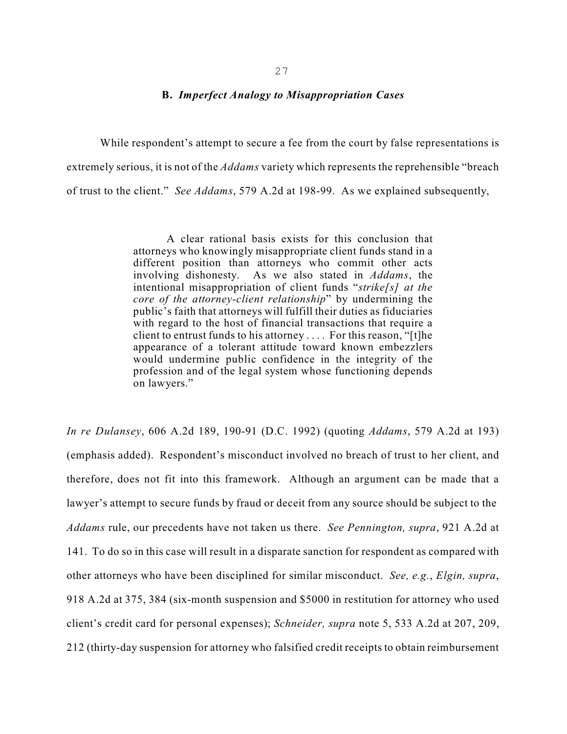## **B.** *Imperfect Analogy to Misappropriation Cases*

While respondent's attempt to secure a fee from the court by false representations is extremely serious, it is not of the *Addams* variety which represents the reprehensible "breach of trust to the client." *See Addams*, 579 A.2d at 198-99. As we explained subsequently,

> A clear rational basis exists for this conclusion that attorneys who knowingly misappropriate client funds stand in a different position than attorneys who commit other acts involving dishonesty. As we also stated in *Addams*, the intentional misappropriation of client funds "*strike[s] at the core of the attorney-client relationship*" by undermining the public's faith that attorneys will fulfill their duties as fiduciaries with regard to the host of financial transactions that require a client to entrust funds to his attorney . . . . For this reason, "[t]he appearance of a tolerant attitude toward known embezzlers would undermine public confidence in the integrity of the profession and of the legal system whose functioning depends on lawyers."

*In re Dulansey*, 606 A.2d 189, 190-91 (D.C. 1992) (quoting *Addams*, 579 A.2d at 193) (emphasis added). Respondent's misconduct involved no breach of trust to her client, and therefore, does not fit into this framework. Although an argument can be made that a lawyer's attempt to secure funds by fraud or deceit from any source should be subject to the *Addams* rule, our precedents have not taken us there. *See Pennington, supra*, 921 A.2d at 141. To do so in this case will result in a disparate sanction for respondent as compared with other attorneys who have been disciplined for similar misconduct. *See, e.g.*, *Elgin, supra*, 918 A.2d at 375, 384 (six-month suspension and \$5000 in restitution for attorney who used client's credit card for personal expenses); *Schneider, supra* note 5, 533 A.2d at 207, 209, 212 (thirty-day suspension for attorney who falsified credit receipts to obtain reimbursement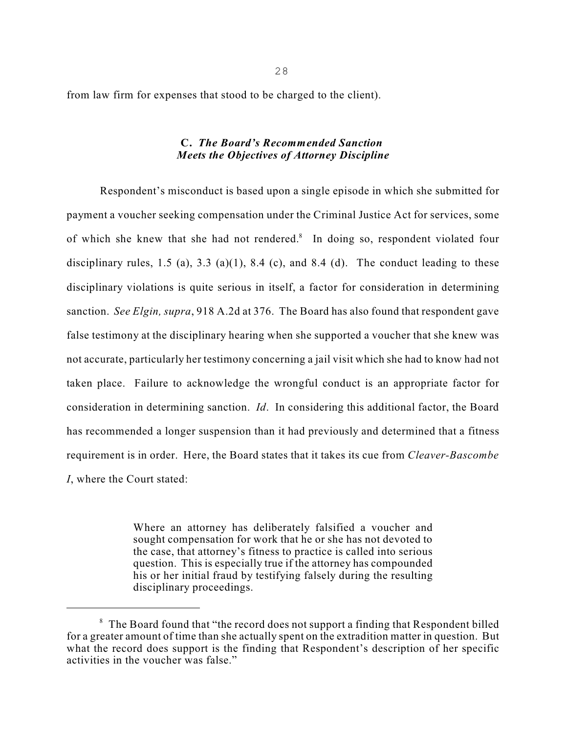from law firm for expenses that stood to be charged to the client).

# **C.** *The Board's Recommended Sanction Meets the Objectives of Attorney Discipline*

Respondent's misconduct is based upon a single episode in which she submitted for payment a voucher seeking compensation under the Criminal Justice Act for services, some of which she knew that she had not rendered.<sup>8</sup> In doing so, respondent violated four disciplinary rules, 1.5 (a), 3.3 (a)(1), 8.4 (c), and 8.4 (d). The conduct leading to these disciplinary violations is quite serious in itself, a factor for consideration in determining sanction. *See Elgin, supra*, 918 A.2d at 376. The Board has also found that respondent gave false testimony at the disciplinary hearing when she supported a voucher that she knew was not accurate, particularly her testimony concerning a jail visit which she had to know had not taken place. Failure to acknowledge the wrongful conduct is an appropriate factor for consideration in determining sanction. *Id*. In considering this additional factor, the Board has recommended a longer suspension than it had previously and determined that a fitness requirement is in order. Here, the Board states that it takes its cue from *Cleaver-Bascombe I*, where the Court stated:

> Where an attorney has deliberately falsified a voucher and sought compensation for work that he or she has not devoted to the case, that attorney's fitness to practice is called into serious question. This is especially true if the attorney has compounded his or her initial fraud by testifying falsely during the resulting disciplinary proceedings.

 $8$  The Board found that "the record does not support a finding that Respondent billed for a greater amount of time than she actually spent on the extradition matter in question. But what the record does support is the finding that Respondent's description of her specific activities in the voucher was false."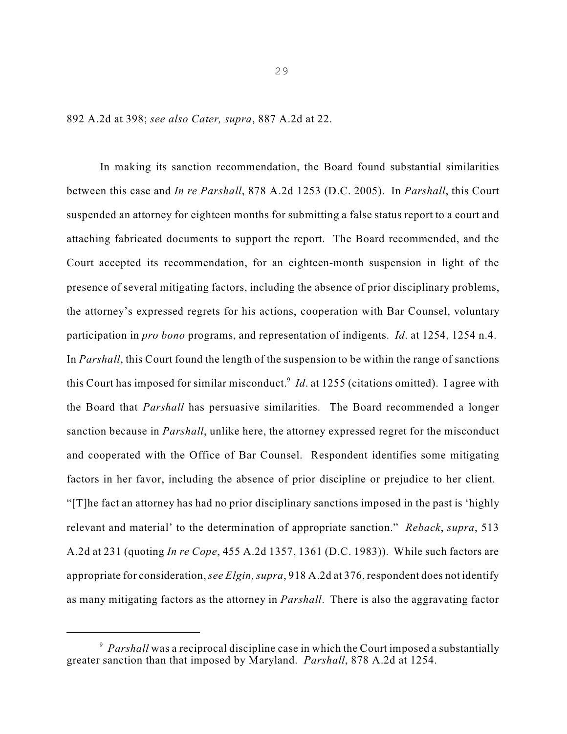892 A.2d at 398; *see also Cater, supra*, 887 A.2d at 22.

In making its sanction recommendation, the Board found substantial similarities between this case and *In re Parshall*, 878 A.2d 1253 (D.C. 2005). In *Parshall*, this Court suspended an attorney for eighteen months for submitting a false status report to a court and attaching fabricated documents to support the report. The Board recommended, and the Court accepted its recommendation, for an eighteen-month suspension in light of the presence of several mitigating factors, including the absence of prior disciplinary problems, the attorney's expressed regrets for his actions, cooperation with Bar Counsel, voluntary participation in *pro bono* programs, and representation of indigents. *Id*. at 1254, 1254 n.4. In *Parshall*, this Court found the length of the suspension to be within the range of sanctions this Court has imposed for similar misconduct.<sup>9</sup> *Id*. at 1255 (citations omitted). I agree with the Board that *Parshall* has persuasive similarities. The Board recommended a longer sanction because in *Parshall*, unlike here, the attorney expressed regret for the misconduct and cooperated with the Office of Bar Counsel. Respondent identifies some mitigating factors in her favor, including the absence of prior discipline or prejudice to her client. "[T]he fact an attorney has had no prior disciplinary sanctions imposed in the past is 'highly relevant and material' to the determination of appropriate sanction." *Reback*, *supra*, 513 A.2d at 231 (quoting *In re Cope*, 455 A.2d 1357, 1361 (D.C. 1983)). While such factors are appropriate for consideration, *see Elgin, supra*, 918 A.2d at 376, respondent does not identify as many mitigating factors as the attorney in *Parshall*.There is also the aggravating factor

<sup>&</sup>lt;sup>9</sup> Parshall was a reciprocal discipline case in which the Court imposed a substantially greater sanction than that imposed by Maryland. *Parshall*, 878 A.2d at 1254.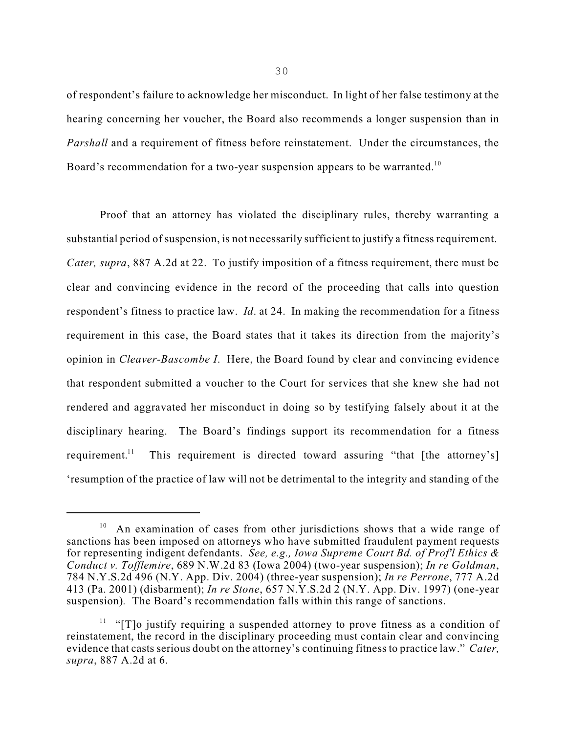of respondent's failure to acknowledge her misconduct. In light of her false testimony at the hearing concerning her voucher, the Board also recommends a longer suspension than in *Parshall* and a requirement of fitness before reinstatement. Under the circumstances, the Board's recommendation for a two-year suspension appears to be warranted.<sup>10</sup>

Proof that an attorney has violated the disciplinary rules, thereby warranting a substantial period of suspension, is not necessarily sufficient to justify a fitness requirement. *Cater, supra*, 887 A.2d at 22. To justify imposition of a fitness requirement, there must be clear and convincing evidence in the record of the proceeding that calls into question respondent's fitness to practice law. *Id*. at 24. In making the recommendation for a fitness requirement in this case, the Board states that it takes its direction from the majority's opinion in *Cleaver-Bascombe I*. Here, the Board found by clear and convincing evidence that respondent submitted a voucher to the Court for services that she knew she had not rendered and aggravated her misconduct in doing so by testifying falsely about it at the disciplinary hearing. The Board's findings support its recommendation for a fitness requirement.<sup>11</sup> This requirement is directed toward assuring "that [the attorney's] 'resumption of the practice of law will not be detrimental to the integrity and standing of the

<sup>&</sup>lt;sup>10</sup> An examination of cases from other jurisdictions shows that a wide range of sanctions has been imposed on attorneys who have submitted fraudulent payment requests for representing indigent defendants. *See, e.g., Iowa Supreme Court Bd. of Prof'l Ethics & Conduct v. Tofflemire*, 689 N.W.2d 83 (Iowa 2004) (two-year suspension); *In re Goldman*, 784 N.Y.S.2d 496 (N.Y. App. Div. 2004) (three-year suspension); *In re Perrone*, 777 A.2d 413 (Pa. 2001) (disbarment); *In re Stone*, 657 N.Y.S.2d 2 (N.Y. App. Div. 1997) (one-year suspension)*.* The Board's recommendation falls within this range of sanctions.

 $11$  "[T]o justify requiring a suspended attorney to prove fitness as a condition of reinstatement, the record in the disciplinary proceeding must contain clear and convincing evidence that casts serious doubt on the attorney's continuing fitness to practice law." *Cater, supra*, 887 A.2d at 6.